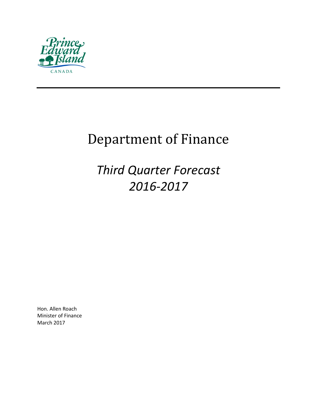

# Department of Finance

*Third Quarter Forecast 2016-2017*

Hon. Allen Roach Minister of Finance March 2017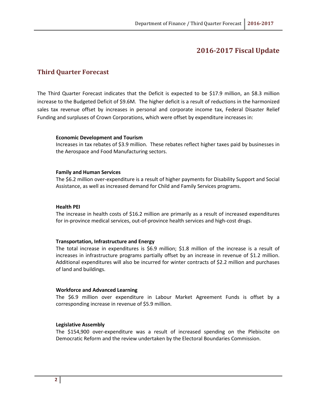## **2016-2017 Fiscal Update**

### **Third Quarter Forecast**

The Third Quarter Forecast indicates that the Deficit is expected to be \$17.9 million, an \$8.3 million increase to the Budgeted Deficit of \$9.6M. The higher deficit is a result of reductions in the harmonized sales tax revenue offset by increases in personal and corporate income tax, Federal Disaster Relief Funding and surpluses of Crown Corporations, which were offset by expenditure increases in:

#### **Economic Development and Tourism**

Increases in tax rebates of \$3.9 million. These rebates reflect higher taxes paid by businesses in the Aerospace and Food Manufacturing sectors.

#### **Family and Human Services**

The \$6.2 million over-expenditure is a result of higher payments for Disability Support and Social Assistance, as well as increased demand for Child and Family Services programs.

#### **Health PEI**

The increase in health costs of \$16.2 million are primarily as a result of increased expenditures for in-province medical services, out-of-province health services and high-cost drugs.

#### **Transportation, Infrastructure and Energy**

The total increase in expenditures is \$6.9 million; \$1.8 million of the increase is a result of increases in infrastructure programs partially offset by an increase in revenue of \$1.2 million. Additional expenditures will also be incurred for winter contracts of \$2.2 million and purchases of land and buildings.

#### **Workforce and Advanced Learning**

The \$6.9 million over expenditure in Labour Market Agreement Funds is offset by a corresponding increase in revenue of \$5.9 million.

#### **Legislative Assembly**

The \$154,900 over-expenditure was a result of increased spending on the Plebiscite on Democratic Reform and the review undertaken by the Electoral Boundaries Commission.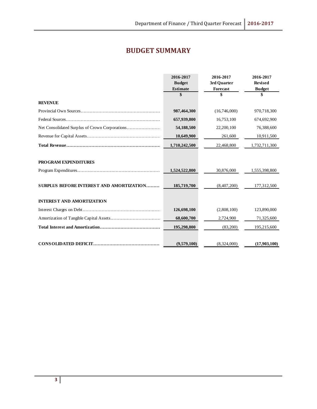# **BUDGET SUMMARY**

|                                          | 2016-2017<br><b>Budget</b><br><b>Estimate</b> | 2016-2017<br>3rd Quarter<br><b>Forecast</b> | 2016-2017<br><b>Revised</b><br><b>Budget</b> |
|------------------------------------------|-----------------------------------------------|---------------------------------------------|----------------------------------------------|
|                                          | \$                                            | \$                                          | \$                                           |
| <b>REVENUE</b>                           |                                               |                                             |                                              |
|                                          | 987,464,300                                   | (16,746,000)                                | 970,718,300                                  |
|                                          | 657,939,800                                   | 16,753,100                                  | 674,692,900                                  |
|                                          | 54,188,500                                    | 22,200,100                                  | 76,388,600                                   |
|                                          | 10,649,900                                    | 261,600                                     | 10,911,500                                   |
|                                          | 1,710,242,500                                 | 22,468,800                                  | 1,732,711,300                                |
| <b>PROGRAM EXPENDITURES</b>              |                                               |                                             |                                              |
|                                          | 1,524,522,800                                 | 30,876,000                                  | 1,555,398,800                                |
| SURPLUS BEFORE INTEREST AND AMORTIZATION | 185,719,700                                   | (8,407,200)                                 | 177,312,500                                  |
| <b>INTEREST AND AMORTIZATION</b>         |                                               |                                             |                                              |
|                                          | 126,698,100                                   | (2,808,100)                                 | 123,890,000                                  |
|                                          | 68,600,700                                    | 2,724,900                                   | 71,325,600                                   |
|                                          | 195,298,800                                   | (83,200)                                    | 195,215,600                                  |
|                                          | (9,579,100)                                   | (8,324,000)                                 | (17,903,100)                                 |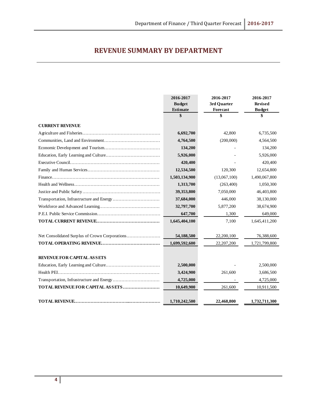# **REVENUE SUMMARY BY DEPARTMENT**

|                                         | 2016-2017<br><b>Budget</b><br><b>Estimate</b> | 2016-2017<br>3rd Quarter<br>Forecast | 2016-2017<br><b>Revised</b><br><b>Budget</b> |
|-----------------------------------------|-----------------------------------------------|--------------------------------------|----------------------------------------------|
|                                         | \$                                            | \$                                   | \$                                           |
| <b>CURRENT REVENUE</b>                  |                                               |                                      |                                              |
|                                         | 6,692,700                                     | 42,800                               | 6,735,500                                    |
|                                         | 4,764,500                                     | (200,000)                            | 4,564,500                                    |
|                                         | 134,200                                       |                                      | 134,200                                      |
|                                         | 5,926,000                                     |                                      | 5,926,000                                    |
|                                         | 420,400                                       |                                      | 420,400                                      |
|                                         | 12,534,500                                    | 120,300                              | 12,654,800                                   |
|                                         | 1,503,134,900                                 | (13,067,100)                         | 1,490,067,800                                |
|                                         | 1,313,700                                     | (263, 400)                           | 1,050,300                                    |
|                                         | 39,353,800                                    | 7,050,000                            | 46,403,800                                   |
|                                         | 37,684,000                                    | 446,000                              | 38,130,000                                   |
|                                         | 32,797,700                                    | 5,877,200                            | 38,674,900                                   |
|                                         | 647,700                                       | 1,300                                | 649,000                                      |
|                                         | 1,645,404,100                                 | 7,100                                | 1,645,411,200                                |
|                                         | 54,188,500                                    | 22,200,100                           | 76,388,600                                   |
|                                         | 1,699,592,600                                 | 22,207,200                           | 1,721,799,800                                |
| <b>REVENUE FOR CAPITAL ASSETS</b>       |                                               |                                      |                                              |
|                                         | 2,500,000                                     |                                      | 2,500,000                                    |
|                                         | 3,424,900                                     | 261,600                              | 3,686,500                                    |
|                                         | 4,725,000                                     |                                      | 4,725,000                                    |
| <b>TOTAL REVENUE FOR CAPITAL ASSETS</b> | 10,649,900                                    | 261,600                              | 10,911,500                                   |
|                                         | 1,710,242,500                                 | 22,468,800                           | 1,732,711,300                                |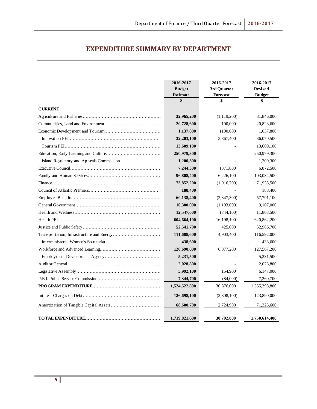## **EXPENDITURE SUMMARY BY DEPARTMENT**

|                | 2016-2017<br><b>Budget</b><br><b>Estimate</b> | 2016-2017<br>3rd Quarter<br>Forecast | 2016-2017<br><b>Revised</b><br><b>Budget</b> |
|----------------|-----------------------------------------------|--------------------------------------|----------------------------------------------|
|                | \$                                            | \$                                   | \$                                           |
| <b>CURRENT</b> |                                               |                                      |                                              |
|                | 32,965,200                                    | (1,119,200)                          | 31,846,000                                   |
|                | 20,728,600                                    | 100,000                              | 20,828,600                                   |
|                | 1,137,800                                     | (100,000)                            | 1,037,800                                    |
|                | 32,203,100                                    | 3,867,400                            | 36,070,500                                   |
|                | 13,609,100                                    |                                      | 13,609,100                                   |
|                | 250,979,300                                   |                                      | 250,979,300                                  |
|                | 1,200,300                                     |                                      | 1,200,300                                    |
|                | 7,244,300                                     | (371,800)                            | 6,872,500                                    |
|                | 96,808,400                                    | 6,226,100                            | 103,034,500                                  |
|                | 73,852,200                                    | (1,916,700)                          | 71,935,500                                   |
|                | 188,400                                       |                                      | 188,400                                      |
|                | 60,138,400                                    | (2,347,300)                          | 57,791,100                                   |
|                | 10,300,000                                    | (1,193,000)                          | 9,107,000                                    |
|                | 12,547,600                                    | (744,100)                            | 11,803,500                                   |
|                | 604,664,100                                   | 16,198,100                           | 620,862,200                                  |
|                | 52,541,700                                    | 425,000                              | 52,966,700                                   |
|                | 111,688,600                                   | 4,903,400                            | 116,592,000                                  |
|                | 438,600                                       |                                      | 438,600                                      |
|                | 120,690,000                                   | 6,877,200                            | 127,567,200                                  |
|                | 5,231,500                                     |                                      | 5,231,500                                    |
|                | 2,028,800                                     |                                      | 2,028,800                                    |
|                | 5,992,100                                     | 154,900                              | 6,147,000                                    |
|                | 7,344,700                                     | (84,000)                             | 7,260,700                                    |
|                | 1,524,522,800                                 | 30,876,000                           | 1,555,398,800                                |
|                | 126,698,100                                   | (2,808,100)                          | 123,890,000                                  |
|                | 68,600,700                                    | 2,724,900                            | 71,325,600                                   |
|                | 1,719,821,600                                 | 30,792,800                           | 1,750,614,400                                |